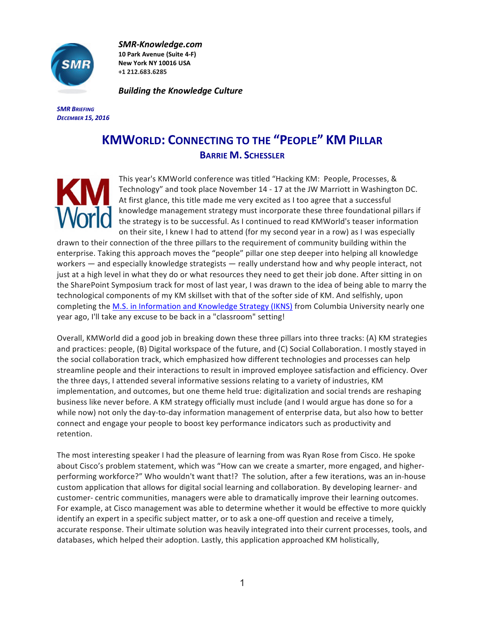

*SMR-Knowledge.com* **10 Park Avenue (Suite 4-F) New York NY 10016 USA +1 212.683.6285**

**Building the Knowledge Culture** 

*SMR BRIEFING DECEMBER 15, 2016*

## **KMWORLD: CONNECTING TO THE "PEOPLE" KM PILLAR BARRIE M. SCHESSLER**



This year's KMWorld conference was titled "Hacking KM: People, Processes, & Technology" and took place November 14 - 17 at the JW Marriott in Washington DC. At first glance, this title made me very excited as I too agree that a successful knowledge management strategy must incorporate these three foundational pillars if the strategy is to be successful. As I continued to read KMWorld's teaser information on their site, I knew I had to attend (for my second year in a row) as I was especially

drawn to their connection of the three pillars to the requirement of community building within the enterprise. Taking this approach moves the "people" pillar one step deeper into helping all knowledge workers — and especially knowledge strategists — really understand how and why people interact, not just at a high level in what they do or what resources they need to get their job done. After sitting in on the SharePoint Symposium track for most of last year, I was drawn to the idea of being able to marry the technological components of my KM skillset with that of the softer side of KM. And selfishly, upon completing the M.S. in Information and Knowledge Strategy (IKNS) from Columbia University nearly one year ago, I'll take any excuse to be back in a "classroom" setting!

Overall, KMWorld did a good job in breaking down these three pillars into three tracks: (A) KM strategies and practices: people, (B) Digital workspace of the future, and (C) Social Collaboration. I mostly stayed in the social collaboration track, which emphasized how different technologies and processes can help streamline people and their interactions to result in improved employee satisfaction and efficiency. Over the three days, I attended several informative sessions relating to a variety of industries, KM implementation, and outcomes, but one theme held true: digitalization and social trends are reshaping business like never before. A KM strategy officially must include (and I would argue has done so for a while now) not only the day-to-day information management of enterprise data, but also how to better connect and engage your people to boost key performance indicators such as productivity and retention. 

The most interesting speaker I had the pleasure of learning from was Ryan Rose from Cisco. He spoke about Cisco's problem statement, which was "How can we create a smarter, more engaged, and higherperforming workforce?" Who wouldn't want that!? The solution, after a few iterations, was an in-house custom application that allows for digital social learning and collaboration. By developing learner- and customer- centric communities, managers were able to dramatically improve their learning outcomes. For example, at Cisco management was able to determine whether it would be effective to more quickly identify an expert in a specific subject matter, or to ask a one-off question and receive a timely, accurate response. Their ultimate solution was heavily integrated into their current processes, tools, and databases, which helped their adoption. Lastly, this application approached KM holistically,